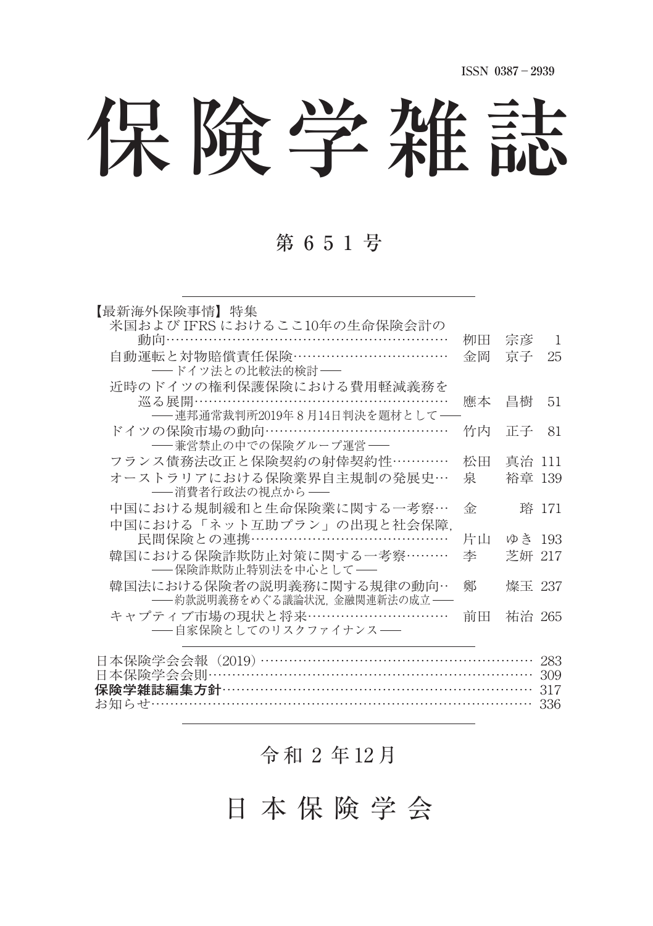# 保険学雑誌

## 第 6 5 1 号

| 【最新海外保険事情】 特集                                               |    |        |       |
|-------------------------------------------------------------|----|--------|-------|
| 米国および IFRS におけるここ10年の生命保険会計の                                |    |        |       |
| 動向……………………………………………………                                      | 栁田 | 宗彦     | -1    |
| 自動運転と対物賠償責任保険……………………………                                    | 金岡 | 京子     | 25    |
| -- ドイツ法との比較法的検討--                                           |    |        |       |
| 近時のドイツの権利保護保険における費用軽減義務を<br>巡る展開………………………………………………          | 應本 | 昌樹     | 51    |
| ---- 連邦通常裁判所2019年8月14日判決を題材として --                           |    |        |       |
| ドイツの保険市場の動向………………………………                                     | 竹内 | 正子     | 81    |
| ―― 兼営禁止の中での保険グループ運営――                                       |    |        |       |
| フランス債務法改正と保険契約の射倖契約性…………                                    | 松田 | 真治 111 |       |
| オーストラリアにおける保険業界自主規制の発展史…                                    | 泉  | 裕章 139 |       |
| ―― 消費者行政法の視点から――                                            |    |        |       |
| 中国における規制緩和と生命保険業に関する一考察…                                    | 金  |        | 瑢 171 |
| 中国における「ネット互助プラン」の出現と社会保障.                                   |    |        |       |
| 民間保険との連携……………………………………                                      | 片山 | ゆき 193 |       |
| 韓国における保険詐欺防止対策に関する一考察………                                    | 李  | 芝妍 217 |       |
| ―― 保険詐欺防止特別法を中心として――                                        |    |        |       |
| 韓国法における保険者の説明義務に関する規律の動向…<br>-- 約款説明義務をめぐる議論状況、金融関連新法の成立 -- | 鄭  | 燦玉 237 |       |
| キャプティブ市場の現状と将来…………………………                                    | 前田 | 祐治 265 |       |
| ―― 自家保険としてのリスクファイナンス――                                      |    |        |       |
|                                                             |    |        |       |
| 日本保険学会会報(2019)…………………………………………………                           |    |        | 283   |
| 日本保険学会会則…………………………………………………………                              |    |        | 309   |
|                                                             |    |        | 317   |
|                                                             |    |        | 336   |

### 令 和 ⚒ 年 12 月

日 本 保 険 学 会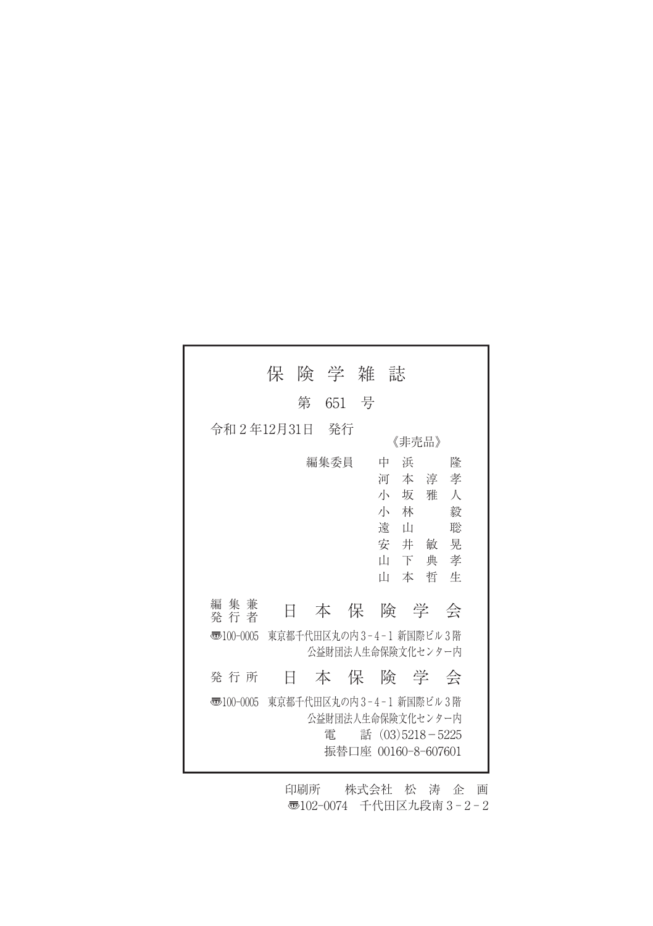|                                                                        | 保                       | 険 学 雑          |   | 誌                                                                           |                                                     |
|------------------------------------------------------------------------|-------------------------|----------------|---|-----------------------------------------------------------------------------|-----------------------------------------------------|
|                                                                        | 第                       | 651            | 号 |                                                                             |                                                     |
| 令和2年12月31日                                                             |                         | - 発行           |   | 《非壳品》                                                                       |                                                     |
|                                                                        |                         | 編集委員           |   | 中<br>浜<br>河<br>本 淳<br>坂<br>小<br>小<br>林<br>溒<br>Ш<br>安井敏<br>Ш<br>下<br>Ш<br>本 | 隆<br>孝<br>Л<br>雅<br>毅<br>聡<br>晃<br>典<br>孝<br>哲<br>牛 |
| 編 集 兼<br>発 行 者                                                         | E                       | 本              | 保 | 険 学                                                                         | 会                                                   |
| 東京都千代田区丸の内3-4-1 新国際ビル3階<br>$\overline{3}100-0005$<br>公益財団法人生命保険文化センター内 |                         |                |   |                                                                             |                                                     |
| 発 行 所                                                                  | H                       | あんじょう 本の保 こうかい |   |                                                                             | 険の学 会                                               |
| 枣100-0005                                                              | 東京都千代田区丸の内3-4-1 新国際ビル3階 | 雷              |   | 公益財団法人生命保険文化センター内<br>話 (03)5218-5225<br>振替口座 00160-8-607601                 |                                                     |

印刷所 株式会社 松 涛 企 画 〠102-0074 千代田区九段南 3 - 2 - 2